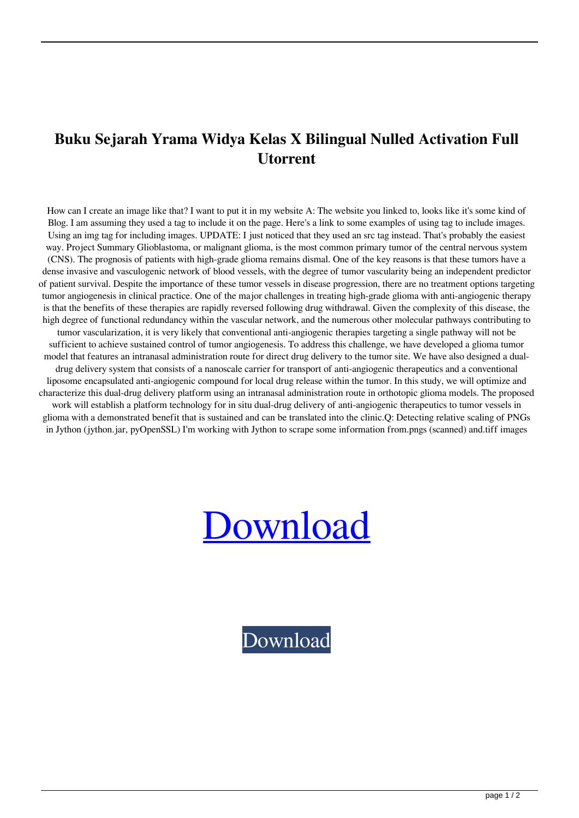## **Buku Sejarah Yrama Widya Kelas X Bilingual Nulled Activation Full Utorrent**

How can I create an image like that? I want to put it in my website A: The website you linked to, looks like it's some kind of Blog. I am assuming they used a tag to include it on the page. Here's a link to some examples of using tag to include images. Using an img tag for including images. UPDATE: I just noticed that they used an src tag instead. That's probably the easiest way. Project Summary Glioblastoma, or malignant glioma, is the most common primary tumor of the central nervous system (CNS). The prognosis of patients with high-grade glioma remains dismal. One of the key reasons is that these tumors have a dense invasive and vasculogenic network of blood vessels, with the degree of tumor vascularity being an independent predictor of patient survival. Despite the importance of these tumor vessels in disease progression, there are no treatment options targeting tumor angiogenesis in clinical practice. One of the major challenges in treating high-grade glioma with anti-angiogenic therapy is that the benefits of these therapies are rapidly reversed following drug withdrawal. Given the complexity of this disease, the high degree of functional redundancy within the vascular network, and the numerous other molecular pathways contributing to tumor vascularization, it is very likely that conventional anti-angiogenic therapies targeting a single pathway will not be sufficient to achieve sustained control of tumor angiogenesis. To address this challenge, we have developed a glioma tumor model that features an intranasal administration route for direct drug delivery to the tumor site. We have also designed a dualdrug delivery system that consists of a nanoscale carrier for transport of anti-angiogenic therapeutics and a conventional liposome encapsulated anti-angiogenic compound for local drug release within the tumor. In this study, we will optimize and characterize this dual-drug delivery platform using an intranasal administration route in orthotopic glioma models. The proposed work will establish a platform technology for in situ dual-drug delivery of anti-angiogenic therapeutics to tumor vessels in glioma with a demonstrated benefit that is sustained and can be translated into the clinic.Q: Detecting relative scaling of PNGs in Jython (jython.jar, pyOpenSSL) I'm working with Jython to scrape some information from.pngs (scanned) and.tiff images

## [Download](http://evacdir.com/autism/characterless/consolidator/W0ZVTExdIGRvd25sb2FkIGJ1a3Ugc2VqYXJhaCB5cmFtYSB3aWR5YSBrZWxhcyB4IGJpbGluZ3VhbAW0Z.decommissioned?parom/perspicuity/ZG93bmxvYWR8OEZSTVRCMU1ueDhNVFkxTWpjME1EZzJObng4TWpVM05IeDhLRTBwSUhKbFlXUXRZbXh2WnlCYlJtRnpkQ0JIUlU1ZA.influencing)

[Download](http://evacdir.com/autism/characterless/consolidator/W0ZVTExdIGRvd25sb2FkIGJ1a3Ugc2VqYXJhaCB5cmFtYSB3aWR5YSBrZWxhcyB4IGJpbGluZ3VhbAW0Z.decommissioned?parom/perspicuity/ZG93bmxvYWR8OEZSTVRCMU1ueDhNVFkxTWpjME1EZzJObng4TWpVM05IeDhLRTBwSUhKbFlXUXRZbXh2WnlCYlJtRnpkQ0JIUlU1ZA.influencing)